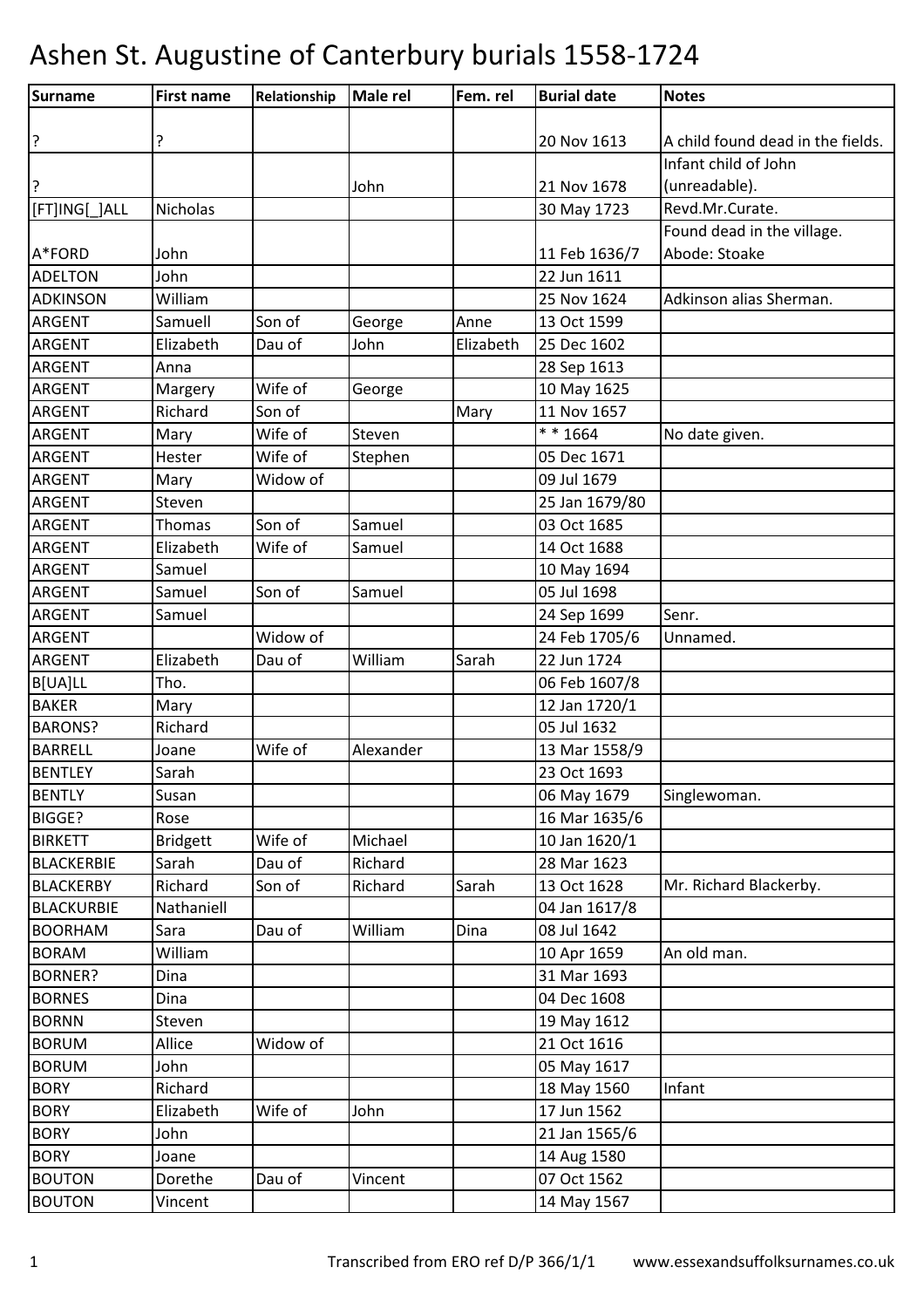| Surname           | <b>First name</b> | Relationship | <b>Male rel</b> | Fem. rel  | <b>Burial date</b>   | <b>Notes</b>                      |
|-------------------|-------------------|--------------|-----------------|-----------|----------------------|-----------------------------------|
|                   |                   |              |                 |           |                      |                                   |
| ?                 | ?                 |              |                 |           | 20 Nov 1613          | A child found dead in the fields. |
|                   |                   |              |                 |           |                      | Infant child of John              |
| ?                 |                   |              | John            |           | 21 Nov 1678          | (unreadable).                     |
| [FT]ING[_]ALL     | Nicholas          |              |                 |           | 30 May 1723          | Revd.Mr.Curate.                   |
|                   |                   |              |                 |           |                      | Found dead in the village.        |
| A*FORD            | John              |              |                 |           | 11 Feb 1636/7        | Abode: Stoake                     |
| <b>ADELTON</b>    | John              |              |                 |           | 22 Jun 1611          |                                   |
| <b>ADKINSON</b>   | William           |              |                 |           | 25 Nov 1624          | Adkinson alias Sherman.           |
| <b>ARGENT</b>     | Samuell           | Son of       | George          | Anne      | 13 Oct 1599          |                                   |
| <b>ARGENT</b>     | Elizabeth         | Dau of       | John            | Elizabeth | 25 Dec 1602          |                                   |
| <b>ARGENT</b>     | Anna              |              |                 |           | 28 Sep 1613          |                                   |
| <b>ARGENT</b>     | Margery           | Wife of      | George          |           | 10 May 1625          |                                   |
| <b>ARGENT</b>     | Richard           | Son of       |                 | Mary      | 11 Nov 1657          |                                   |
| <b>ARGENT</b>     | Mary              | Wife of      | Steven          |           | $\frac{1}{*}$ * 1664 | No date given.                    |
| <b>ARGENT</b>     | Hester            | Wife of      | Stephen         |           | 05 Dec 1671          |                                   |
| <b>ARGENT</b>     | Mary              | Widow of     |                 |           | 09 Jul 1679          |                                   |
| <b>ARGENT</b>     | Steven            |              |                 |           | 25 Jan 1679/80       |                                   |
| ARGENT            | Thomas            | Son of       | Samuel          |           | 03 Oct 1685          |                                   |
| <b>ARGENT</b>     | Elizabeth         | Wife of      | Samuel          |           | 14 Oct 1688          |                                   |
| ARGENT            | Samuel            |              |                 |           | 10 May 1694          |                                   |
| <b>ARGENT</b>     | Samuel            | Son of       | Samuel          |           | 05 Jul 1698          |                                   |
| <b>ARGENT</b>     | Samuel            |              |                 |           | 24 Sep 1699          | Senr.                             |
| ARGENT            |                   | Widow of     |                 |           | 24 Feb 1705/6        | Unnamed.                          |
| <b>ARGENT</b>     | Elizabeth         | Dau of       | William         | Sarah     | 22 Jun 1724          |                                   |
| B[UA]LL           | Tho.              |              |                 |           | 06 Feb 1607/8        |                                   |
| <b>BAKER</b>      | Mary              |              |                 |           | 12 Jan 1720/1        |                                   |
| <b>BARONS?</b>    | Richard           |              |                 |           | 05 Jul 1632          |                                   |
| <b>BARRELL</b>    | Joane             | Wife of      | Alexander       |           | 13 Mar 1558/9        |                                   |
| <b>BENTLEY</b>    | Sarah             |              |                 |           | 23 Oct 1693          |                                   |
| <b>BENTLY</b>     | Susan             |              |                 |           | 06 May 1679          | Singlewoman.                      |
| BIGGE?            | Rose              |              |                 |           | 16 Mar 1635/6        |                                   |
| <b>BIRKETT</b>    | <b>Bridgett</b>   | Wife of      | Michael         |           | 10 Jan 1620/1        |                                   |
| <b>BLACKERBIE</b> | Sarah             | Dau of       | Richard         |           | 28 Mar 1623          |                                   |
| <b>BLACKERBY</b>  | Richard           | Son of       | Richard         | Sarah     | 13 Oct 1628          | Mr. Richard Blackerby.            |
| <b>BLACKURBIE</b> | Nathaniell        |              |                 |           | 04 Jan 1617/8        |                                   |
| <b>BOORHAM</b>    | Sara              | Dau of       | William         | Dina      | 08 Jul 1642          |                                   |
| <b>BORAM</b>      | William           |              |                 |           | 10 Apr 1659          | An old man.                       |
| <b>BORNER?</b>    | Dina              |              |                 |           | 31 Mar 1693          |                                   |
| <b>BORNES</b>     | Dina              |              |                 |           | 04 Dec 1608          |                                   |
| <b>BORNN</b>      | Steven            |              |                 |           | 19 May 1612          |                                   |
| <b>BORUM</b>      | Allice            | Widow of     |                 |           | 21 Oct 1616          |                                   |
| <b>BORUM</b>      | John              |              |                 |           | 05 May 1617          |                                   |
| <b>BORY</b>       | Richard           |              |                 |           | 18 May 1560          | Infant                            |
| <b>BORY</b>       | Elizabeth         | Wife of      | John            |           | 17 Jun 1562          |                                   |
| <b>BORY</b>       | John              |              |                 |           | 21 Jan 1565/6        |                                   |
| <b>BORY</b>       | Joane             |              |                 |           | 14 Aug 1580          |                                   |
| <b>BOUTON</b>     | Dorethe           | Dau of       | Vincent         |           | 07 Oct 1562          |                                   |
| <b>BOUTON</b>     | Vincent           |              |                 |           | 14 May 1567          |                                   |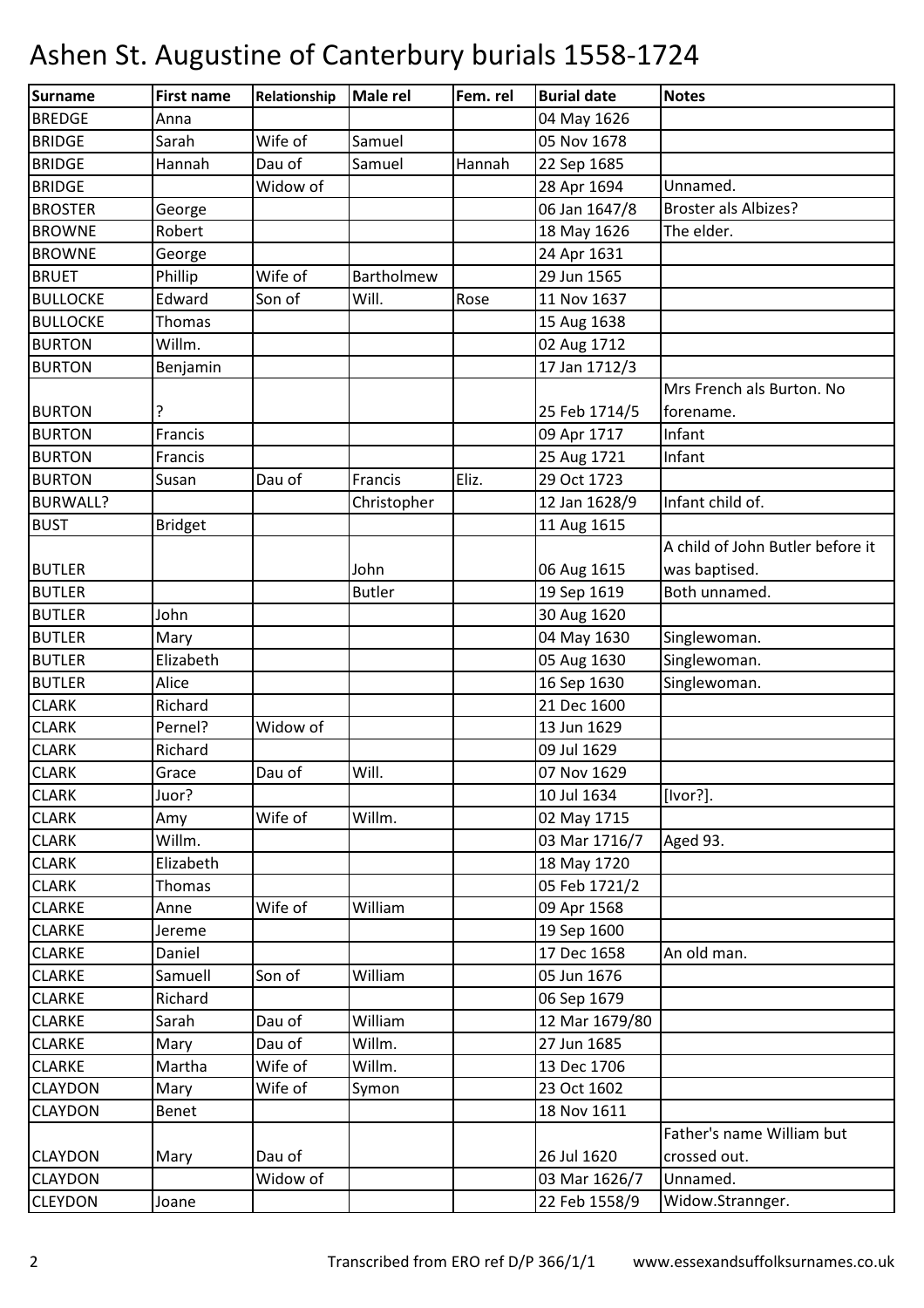| Surname         | <b>First name</b> | Relationship | <b>Male rel</b> | Fem. rel | <b>Burial date</b> | <b>Notes</b>                     |
|-----------------|-------------------|--------------|-----------------|----------|--------------------|----------------------------------|
| <b>BREDGE</b>   | Anna              |              |                 |          | 04 May 1626        |                                  |
| <b>BRIDGE</b>   | Sarah             | Wife of      | Samuel          |          | 05 Nov 1678        |                                  |
| <b>BRIDGE</b>   | Hannah            | Dau of       | Samuel          | Hannah   | 22 Sep 1685        |                                  |
| <b>BRIDGE</b>   |                   | Widow of     |                 |          | 28 Apr 1694        | Unnamed.                         |
| <b>BROSTER</b>  | George            |              |                 |          | 06 Jan 1647/8      | <b>Broster als Albizes?</b>      |
| <b>BROWNE</b>   | Robert            |              |                 |          | 18 May 1626        | The elder.                       |
| <b>BROWNE</b>   | George            |              |                 |          | 24 Apr 1631        |                                  |
| <b>BRUET</b>    | Phillip           | Wife of      | Bartholmew      |          | 29 Jun 1565        |                                  |
| <b>BULLOCKE</b> | Edward            | Son of       | Will.           | Rose     | 11 Nov 1637        |                                  |
| <b>BULLOCKE</b> | Thomas            |              |                 |          | 15 Aug 1638        |                                  |
| <b>BURTON</b>   | Willm.            |              |                 |          | 02 Aug 1712        |                                  |
| <b>BURTON</b>   | Benjamin          |              |                 |          | 17 Jan 1712/3      |                                  |
|                 |                   |              |                 |          |                    | Mrs French als Burton. No        |
| <b>BURTON</b>   | ?                 |              |                 |          | 25 Feb 1714/5      | forename.                        |
| <b>BURTON</b>   | Francis           |              |                 |          | 09 Apr 1717        | Infant                           |
| <b>BURTON</b>   | Francis           |              |                 |          | 25 Aug 1721        | Infant                           |
| <b>BURTON</b>   | Susan             | Dau of       | Francis         | Eliz.    | 29 Oct 1723        |                                  |
| <b>BURWALL?</b> |                   |              | Christopher     |          | 12 Jan 1628/9      | Infant child of.                 |
| <b>BUST</b>     | <b>Bridget</b>    |              |                 |          | 11 Aug 1615        |                                  |
|                 |                   |              |                 |          |                    | A child of John Butler before it |
| <b>BUTLER</b>   |                   |              | John            |          | 06 Aug 1615        | was baptised.                    |
| <b>BUTLER</b>   |                   |              | <b>Butler</b>   |          | 19 Sep 1619        | Both unnamed.                    |
| <b>BUTLER</b>   | John              |              |                 |          | 30 Aug 1620        |                                  |
| <b>BUTLER</b>   | Mary              |              |                 |          | 04 May 1630        | Singlewoman.                     |
| <b>BUTLER</b>   | Elizabeth         |              |                 |          | 05 Aug 1630        | Singlewoman.                     |
| <b>BUTLER</b>   | Alice             |              |                 |          | 16 Sep 1630        | Singlewoman.                     |
| <b>CLARK</b>    | Richard           |              |                 |          | 21 Dec 1600        |                                  |
| <b>CLARK</b>    | Pernel?           | Widow of     |                 |          | 13 Jun 1629        |                                  |
| <b>CLARK</b>    | Richard           |              |                 |          | 09 Jul 1629        |                                  |
| <b>CLARK</b>    | Grace             | Dau of       | Will.           |          | 07 Nov 1629        |                                  |
| <b>CLARK</b>    | Juor?             |              |                 |          | 10 Jul 1634        | [Ivor?].                         |
| <b>CLARK</b>    | Amy               | Wife of      | Willm.          |          | 02 May 1715        |                                  |
| <b>CLARK</b>    | Willm.            |              |                 |          | 03 Mar 1716/7      | Aged 93.                         |
| <b>CLARK</b>    | Elizabeth         |              |                 |          | 18 May 1720        |                                  |
| <b>CLARK</b>    | Thomas            |              |                 |          | 05 Feb 1721/2      |                                  |
| <b>CLARKE</b>   | Anne              | Wife of      | William         |          | 09 Apr 1568        |                                  |
| <b>CLARKE</b>   | Jereme            |              |                 |          | 19 Sep 1600        |                                  |
| <b>CLARKE</b>   | Daniel            |              |                 |          | 17 Dec 1658        | An old man.                      |
| <b>CLARKE</b>   | Samuell           | Son of       | William         |          | 05 Jun 1676        |                                  |
| <b>CLARKE</b>   | Richard           |              |                 |          | 06 Sep 1679        |                                  |
| <b>CLARKE</b>   | Sarah             | Dau of       | William         |          | 12 Mar 1679/80     |                                  |
| <b>CLARKE</b>   | Mary              | Dau of       | Willm.          |          | 27 Jun 1685        |                                  |
| <b>CLARKE</b>   | Martha            | Wife of      | Willm.          |          | 13 Dec 1706        |                                  |
| <b>CLAYDON</b>  | Mary              | Wife of      | Symon           |          | 23 Oct 1602        |                                  |
| <b>CLAYDON</b>  | Benet             |              |                 |          | 18 Nov 1611        |                                  |
|                 |                   |              |                 |          |                    | Father's name William but        |
| <b>CLAYDON</b>  | Mary              | Dau of       |                 |          | 26 Jul 1620        | crossed out.                     |
| <b>CLAYDON</b>  |                   | Widow of     |                 |          | 03 Mar 1626/7      | Unnamed.                         |
| <b>CLEYDON</b>  | Joane             |              |                 |          | 22 Feb 1558/9      | Widow.Strannger.                 |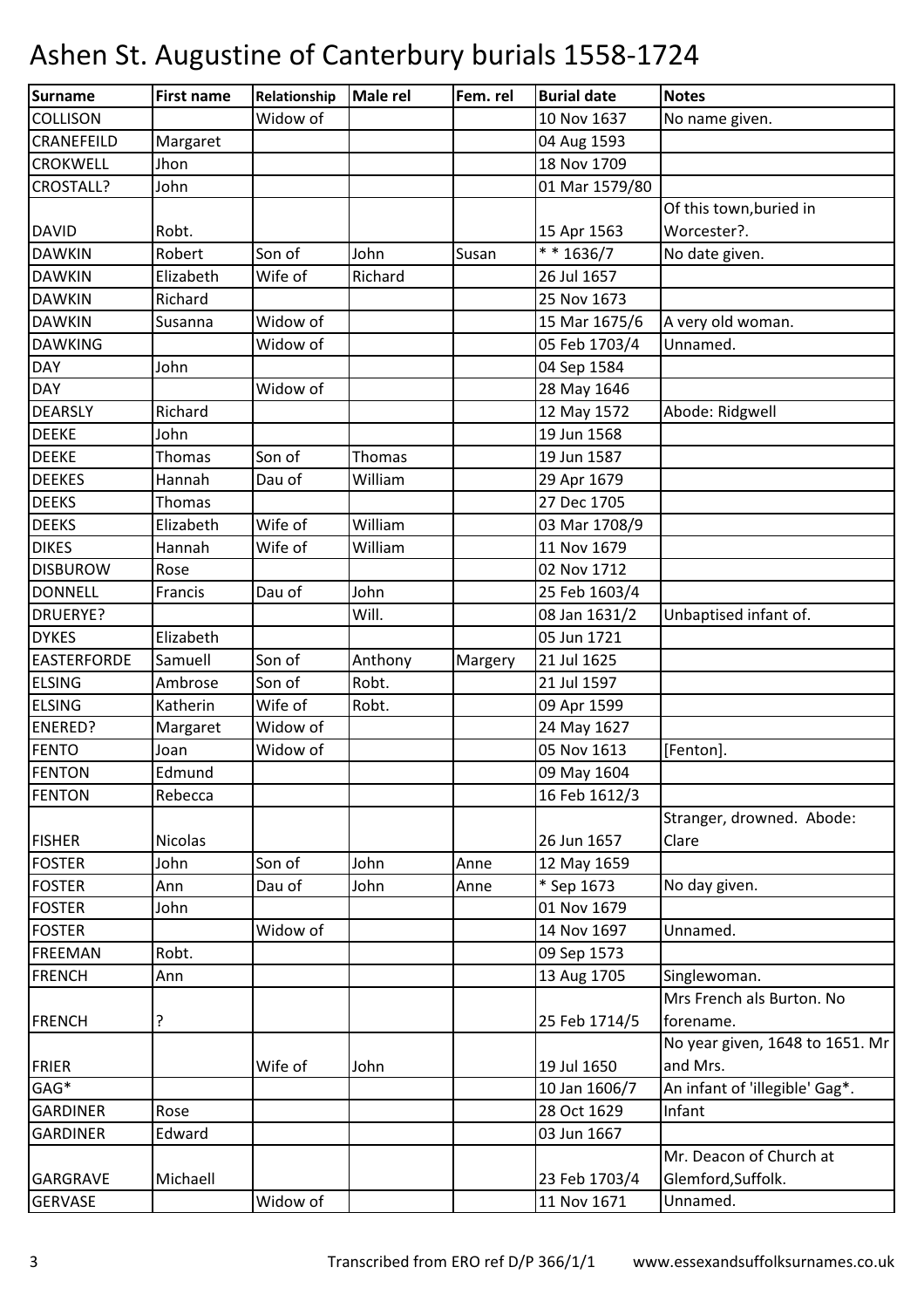| Surname            | <b>First name</b> | Relationship | <b>Male rel</b> | Fem. rel | <b>Burial date</b> | <b>Notes</b>                    |
|--------------------|-------------------|--------------|-----------------|----------|--------------------|---------------------------------|
| <b>COLLISON</b>    |                   | Widow of     |                 |          | 10 Nov 1637        | No name given.                  |
| CRANEFEILD         | Margaret          |              |                 |          | 04 Aug 1593        |                                 |
| <b>CROKWELL</b>    | Jhon              |              |                 |          | 18 Nov 1709        |                                 |
| <b>CROSTALL?</b>   | John              |              |                 |          | 01 Mar 1579/80     |                                 |
|                    |                   |              |                 |          |                    | Of this town, buried in         |
| <b>DAVID</b>       | Robt.             |              |                 |          | 15 Apr 1563        | Worcester?.                     |
| <b>DAWKIN</b>      | Robert            | Son of       | John            | Susan    | $* * 1636/7$       | No date given.                  |
| <b>DAWKIN</b>      | Elizabeth         | Wife of      | Richard         |          | 26 Jul 1657        |                                 |
| <b>DAWKIN</b>      | Richard           |              |                 |          | 25 Nov 1673        |                                 |
| <b>DAWKIN</b>      | Susanna           | Widow of     |                 |          | 15 Mar 1675/6      | A very old woman.               |
| <b>DAWKING</b>     |                   | Widow of     |                 |          | 05 Feb 1703/4      | Unnamed.                        |
| <b>DAY</b>         | John              |              |                 |          | 04 Sep 1584        |                                 |
| <b>DAY</b>         |                   | Widow of     |                 |          | 28 May 1646        |                                 |
| <b>DEARSLY</b>     | Richard           |              |                 |          | 12 May 1572        | Abode: Ridgwell                 |
| <b>DEEKE</b>       | John              |              |                 |          | 19 Jun 1568        |                                 |
| <b>DEEKE</b>       | Thomas            | Son of       | Thomas          |          | 19 Jun 1587        |                                 |
| <b>DEEKES</b>      | Hannah            | Dau of       | William         |          | 29 Apr 1679        |                                 |
| <b>DEEKS</b>       | Thomas            |              |                 |          | 27 Dec 1705        |                                 |
| <b>DEEKS</b>       | Elizabeth         | Wife of      | William         |          | 03 Mar 1708/9      |                                 |
| <b>DIKES</b>       | Hannah            | Wife of      | William         |          | 11 Nov 1679        |                                 |
| <b>DISBUROW</b>    | Rose              |              |                 |          | 02 Nov 1712        |                                 |
| <b>DONNELL</b>     | Francis           | Dau of       | John            |          | 25 Feb 1603/4      |                                 |
| <b>DRUERYE?</b>    |                   |              | Will.           |          | 08 Jan 1631/2      | Unbaptised infant of.           |
| <b>DYKES</b>       | Elizabeth         |              |                 |          | 05 Jun 1721        |                                 |
| <b>EASTERFORDE</b> | Samuell           | Son of       | Anthony         | Margery  | 21 Jul 1625        |                                 |
| <b>ELSING</b>      | Ambrose           | Son of       | Robt.           |          | 21 Jul 1597        |                                 |
| <b>ELSING</b>      | Katherin          | Wife of      | Robt.           |          | 09 Apr 1599        |                                 |
| <b>ENERED?</b>     | Margaret          | Widow of     |                 |          | 24 May 1627        |                                 |
| <b>FENTO</b>       | Joan              | Widow of     |                 |          | 05 Nov 1613        | [Fenton].                       |
| <b>FENTON</b>      | Edmund            |              |                 |          | 09 May 1604        |                                 |
| <b>FENTON</b>      | Rebecca           |              |                 |          | 16 Feb 1612/3      |                                 |
|                    |                   |              |                 |          |                    | Stranger, drowned. Abode:       |
| <b>FISHER</b>      | <b>Nicolas</b>    |              |                 |          | 26 Jun 1657        | Clare                           |
| <b>FOSTER</b>      | John              | Son of       | John            | Anne     | 12 May 1659        |                                 |
| <b>FOSTER</b>      | Ann               | Dau of       | John            | Anne     | * Sep 1673         | No day given.                   |
| <b>FOSTER</b>      | John              |              |                 |          | 01 Nov 1679        |                                 |
| <b>FOSTER</b>      |                   | Widow of     |                 |          | 14 Nov 1697        | Unnamed.                        |
| <b>FREEMAN</b>     | Robt.             |              |                 |          | 09 Sep 1573        |                                 |
| <b>FRENCH</b>      | Ann               |              |                 |          | 13 Aug 1705        | Singlewoman.                    |
|                    |                   |              |                 |          |                    | Mrs French als Burton. No       |
| <b>FRENCH</b>      | ?                 |              |                 |          | 25 Feb 1714/5      | forename.                       |
|                    |                   |              |                 |          |                    | No year given, 1648 to 1651. Mr |
| <b>FRIER</b>       |                   | Wife of      | John            |          | 19 Jul 1650        | and Mrs.                        |
| GAG*               |                   |              |                 |          | 10 Jan 1606/7      | An infant of 'illegible' Gag*.  |
| <b>GARDINER</b>    | Rose              |              |                 |          | 28 Oct 1629        | Infant                          |
| <b>GARDINER</b>    | Edward            |              |                 |          | 03 Jun 1667        |                                 |
|                    |                   |              |                 |          |                    | Mr. Deacon of Church at         |
| <b>GARGRAVE</b>    | Michaell          |              |                 |          | 23 Feb 1703/4      | Glemford, Suffolk.              |
| <b>GERVASE</b>     |                   | Widow of     |                 |          | 11 Nov 1671        | Unnamed.                        |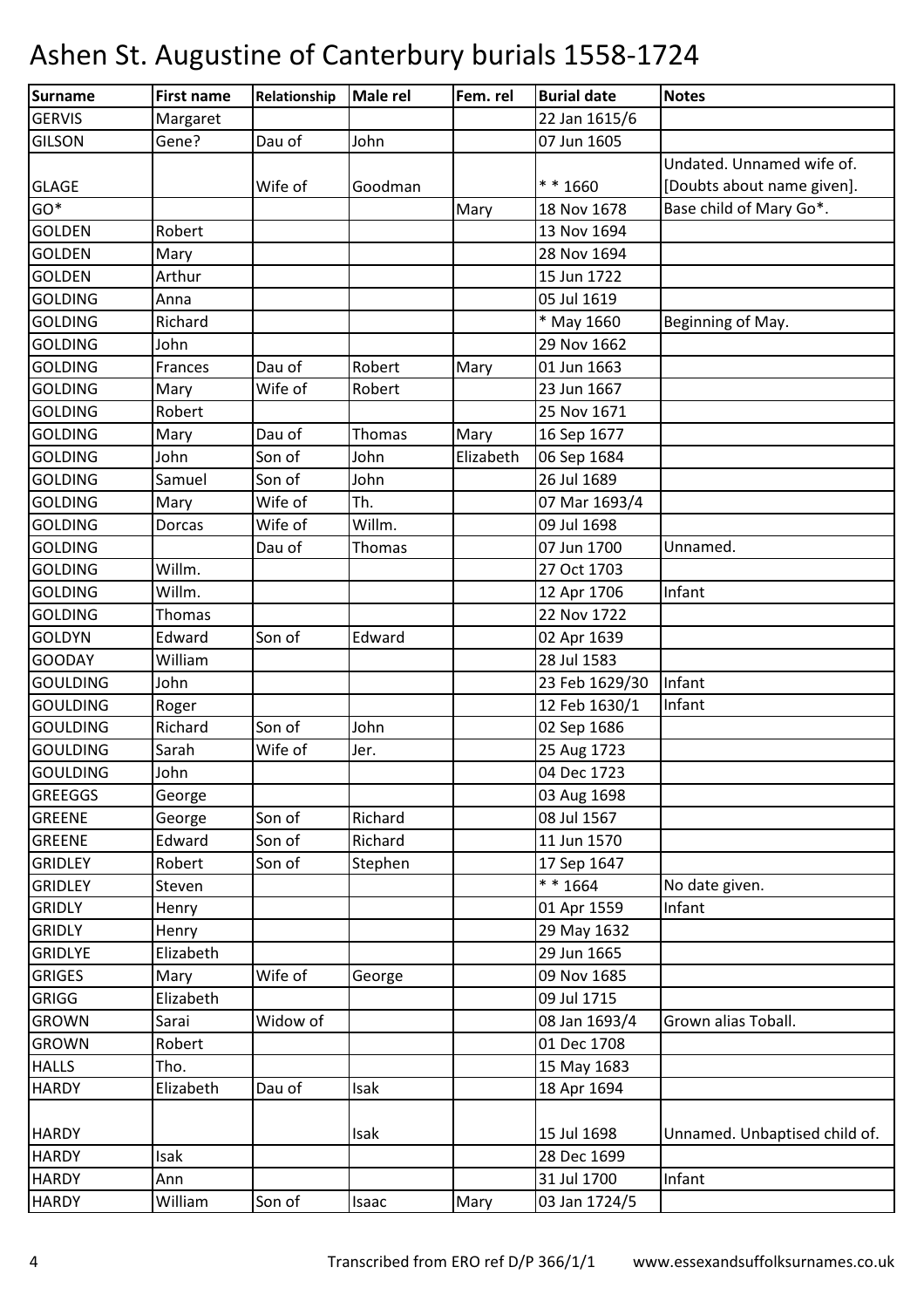| <b>Surname</b>  | <b>First name</b> | Relationship | <b>Male rel</b> | Fem. rel  | <b>Burial date</b> | <b>Notes</b>                  |
|-----------------|-------------------|--------------|-----------------|-----------|--------------------|-------------------------------|
| <b>GERVIS</b>   | Margaret          |              |                 |           | 22 Jan 1615/6      |                               |
| <b>GILSON</b>   | Gene?             | Dau of       | John            |           | 07 Jun 1605        |                               |
|                 |                   |              |                 |           |                    | Undated. Unnamed wife of.     |
| <b>GLAGE</b>    |                   | Wife of      | Goodman         |           | $* * 1660$         | [Doubts about name given].    |
| $GO*$           |                   |              |                 | Mary      | 18 Nov 1678        | Base child of Mary Go*.       |
| <b>GOLDEN</b>   | Robert            |              |                 |           | 13 Nov 1694        |                               |
| <b>GOLDEN</b>   | Mary              |              |                 |           | 28 Nov 1694        |                               |
| <b>GOLDEN</b>   | Arthur            |              |                 |           | 15 Jun 1722        |                               |
| <b>GOLDING</b>  | Anna              |              |                 |           | 05 Jul 1619        |                               |
| <b>GOLDING</b>  | Richard           |              |                 |           | * May 1660         | Beginning of May.             |
| <b>GOLDING</b>  | John              |              |                 |           | 29 Nov 1662        |                               |
| <b>GOLDING</b>  | Frances           | Dau of       | Robert          | Mary      | 01 Jun 1663        |                               |
| <b>GOLDING</b>  | Mary              | Wife of      | Robert          |           | 23 Jun 1667        |                               |
| <b>GOLDING</b>  | Robert            |              |                 |           | 25 Nov 1671        |                               |
| <b>GOLDING</b>  | Mary              | Dau of       | Thomas          | Mary      | 16 Sep 1677        |                               |
| <b>GOLDING</b>  | John              | Son of       | John            | Elizabeth | 06 Sep 1684        |                               |
| <b>GOLDING</b>  | Samuel            | Son of       | John            |           | 26 Jul 1689        |                               |
| <b>GOLDING</b>  | Mary              | Wife of      | Th.             |           | 07 Mar 1693/4      |                               |
| <b>GOLDING</b>  | Dorcas            | Wife of      | Willm.          |           | 09 Jul 1698        |                               |
| <b>GOLDING</b>  |                   | Dau of       | Thomas          |           | 07 Jun 1700        | Unnamed.                      |
| <b>GOLDING</b>  | Willm.            |              |                 |           | 27 Oct 1703        |                               |
| <b>GOLDING</b>  | Willm.            |              |                 |           | 12 Apr 1706        | Infant                        |
| <b>GOLDING</b>  | Thomas            |              |                 |           | 22 Nov 1722        |                               |
| <b>GOLDYN</b>   | Edward            | Son of       | Edward          |           | 02 Apr 1639        |                               |
| <b>GOODAY</b>   | William           |              |                 |           | 28 Jul 1583        |                               |
| <b>GOULDING</b> | John              |              |                 |           | 23 Feb 1629/30     | Infant                        |
| <b>GOULDING</b> | Roger             |              |                 |           | 12 Feb 1630/1      | Infant                        |
| <b>GOULDING</b> | Richard           | Son of       | John            |           | 02 Sep 1686        |                               |
| <b>GOULDING</b> | Sarah             | Wife of      | Jer.            |           | 25 Aug 1723        |                               |
| <b>GOULDING</b> | John              |              |                 |           | 04 Dec 1723        |                               |
| <b>GREEGGS</b>  | George            |              |                 |           | 03 Aug 1698        |                               |
| <b>GREENE</b>   | George            | Son of       | Richard         |           | 08 Jul 1567        |                               |
| <b>GREENE</b>   | Edward            | Son of       | Richard         |           | 11 Jun 1570        |                               |
| <b>GRIDLEY</b>  | Robert            | Son of       | Stephen         |           | 17 Sep 1647        |                               |
| <b>GRIDLEY</b>  | Steven            |              |                 |           | * * 1664           | No date given.                |
| <b>GRIDLY</b>   | Henry             |              |                 |           | 01 Apr 1559        | Infant                        |
| <b>GRIDLY</b>   | Henry             |              |                 |           | 29 May 1632        |                               |
| <b>GRIDLYE</b>  | Elizabeth         |              |                 |           | 29 Jun 1665        |                               |
| <b>GRIGES</b>   | Mary              | Wife of      | George          |           | 09 Nov 1685        |                               |
| <b>GRIGG</b>    | Elizabeth         |              |                 |           | 09 Jul 1715        |                               |
| <b>GROWN</b>    | Sarai             | Widow of     |                 |           | 08 Jan 1693/4      | Grown alias Toball.           |
| <b>GROWN</b>    | Robert            |              |                 |           | 01 Dec 1708        |                               |
| <b>HALLS</b>    | Tho.              |              |                 |           | 15 May 1683        |                               |
| <b>HARDY</b>    | Elizabeth         | Dau of       | Isak            |           | 18 Apr 1694        |                               |
|                 |                   |              |                 |           |                    |                               |
| <b>HARDY</b>    |                   |              | Isak            |           | 15 Jul 1698        | Unnamed. Unbaptised child of. |
| <b>HARDY</b>    | Isak              |              |                 |           | 28 Dec 1699        |                               |
| <b>HARDY</b>    | Ann               |              |                 |           | 31 Jul 1700        | Infant                        |
| <b>HARDY</b>    | William           | Son of       | Isaac           | Mary      | 03 Jan 1724/5      |                               |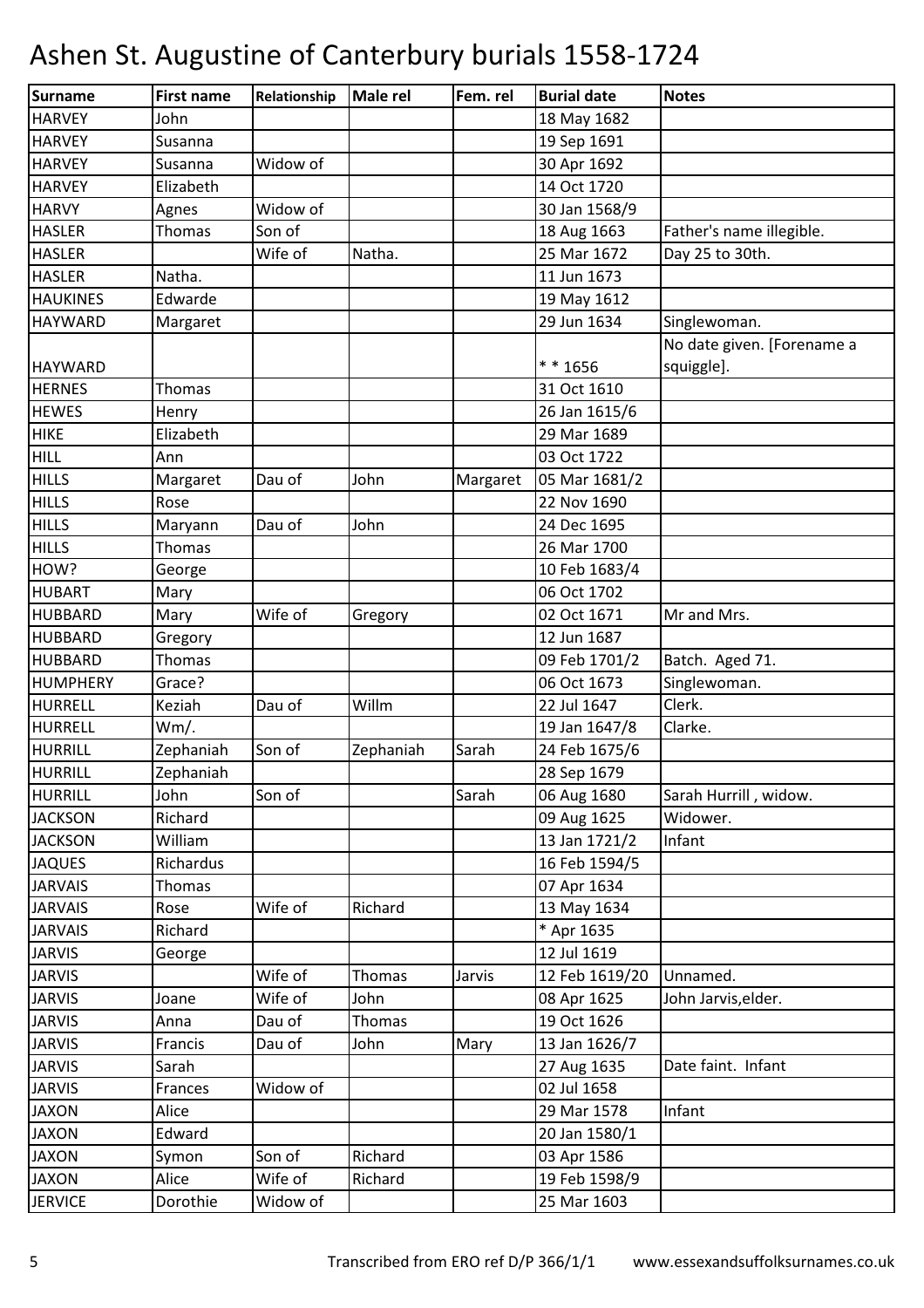| Surname         | <b>First name</b> | Relationship | <b>Male rel</b> | Fem. rel | <b>Burial date</b> | <b>Notes</b>               |
|-----------------|-------------------|--------------|-----------------|----------|--------------------|----------------------------|
| <b>HARVEY</b>   | John              |              |                 |          | 18 May 1682        |                            |
| <b>HARVEY</b>   | Susanna           |              |                 |          | 19 Sep 1691        |                            |
| <b>HARVEY</b>   | Susanna           | Widow of     |                 |          | 30 Apr 1692        |                            |
| <b>HARVEY</b>   | Elizabeth         |              |                 |          | 14 Oct 1720        |                            |
| <b>HARVY</b>    | Agnes             | Widow of     |                 |          | 30 Jan 1568/9      |                            |
| <b>HASLER</b>   | Thomas            | Son of       |                 |          | 18 Aug 1663        | Father's name illegible.   |
| <b>HASLER</b>   |                   | Wife of      | Natha.          |          | 25 Mar 1672        | Day 25 to 30th.            |
| <b>HASLER</b>   | Natha.            |              |                 |          | 11 Jun 1673        |                            |
| <b>HAUKINES</b> | Edwarde           |              |                 |          | 19 May 1612        |                            |
| <b>HAYWARD</b>  | Margaret          |              |                 |          | 29 Jun 1634        | Singlewoman.               |
|                 |                   |              |                 |          |                    | No date given. [Forename a |
| <b>HAYWARD</b>  |                   |              |                 |          | ** 1656            | squiggle].                 |
| <b>HERNES</b>   | Thomas            |              |                 |          | 31 Oct 1610        |                            |
| <b>HEWES</b>    | Henry             |              |                 |          | 26 Jan 1615/6      |                            |
| <b>HIKE</b>     | Elizabeth         |              |                 |          | 29 Mar 1689        |                            |
| <b>HILL</b>     | Ann               |              |                 |          | 03 Oct 1722        |                            |
| <b>HILLS</b>    | Margaret          | Dau of       | John            | Margaret | 05 Mar 1681/2      |                            |
| <b>HILLS</b>    | Rose              |              |                 |          | 22 Nov 1690        |                            |
| <b>HILLS</b>    | Maryann           | Dau of       | John            |          | 24 Dec 1695        |                            |
| <b>HILLS</b>    | Thomas            |              |                 |          | 26 Mar 1700        |                            |
| HOW?            | George            |              |                 |          | 10 Feb 1683/4      |                            |
| <b>HUBART</b>   | Mary              |              |                 |          | 06 Oct 1702        |                            |
| <b>HUBBARD</b>  | Mary              | Wife of      | Gregory         |          | 02 Oct 1671        | Mr and Mrs.                |
| <b>HUBBARD</b>  | Gregory           |              |                 |          | 12 Jun 1687        |                            |
| <b>HUBBARD</b>  | Thomas            |              |                 |          | 09 Feb 1701/2      | Batch. Aged 71.            |
| <b>HUMPHERY</b> | Grace?            |              |                 |          | 06 Oct 1673        | Singlewoman.               |
| <b>HURRELL</b>  | Keziah            | Dau of       | Willm           |          | 22 Jul 1647        | Clerk.                     |
| <b>HURRELL</b>  | Wm/.              |              |                 |          | 19 Jan 1647/8      | Clarke.                    |
| <b>HURRILL</b>  | Zephaniah         | Son of       | Zephaniah       | Sarah    | 24 Feb 1675/6      |                            |
| <b>HURRILL</b>  | Zephaniah         |              |                 |          | 28 Sep 1679        |                            |
| HURRILL         | John              | Son of       |                 | Sarah    | 06 Aug 1680        | Sarah Hurrill, widow.      |
| <b>JACKSON</b>  | Richard           |              |                 |          | 09 Aug 1625        | Widower.                   |
| <b>JACKSON</b>  | William           |              |                 |          | 13 Jan 1721/2      | Infant                     |
| <b>JAQUES</b>   | Richardus         |              |                 |          | 16 Feb 1594/5      |                            |
| <b>JARVAIS</b>  | Thomas            |              |                 |          | 07 Apr 1634        |                            |
| <b>JARVAIS</b>  | Rose              | Wife of      | Richard         |          | 13 May 1634        |                            |
| <b>JARVAIS</b>  | Richard           |              |                 |          | * Apr 1635         |                            |
| <b>JARVIS</b>   | George            |              |                 |          | 12 Jul 1619        |                            |
| <b>JARVIS</b>   |                   | Wife of      | Thomas          | Jarvis   | 12 Feb 1619/20     | Unnamed.                   |
| <b>JARVIS</b>   | Joane             | Wife of      | John            |          | 08 Apr 1625        | John Jarvis, elder.        |
| <b>JARVIS</b>   | Anna              | Dau of       | Thomas          |          | 19 Oct 1626        |                            |
| <b>JARVIS</b>   | Francis           | Dau of       | John            | Mary     | 13 Jan 1626/7      |                            |
| <b>JARVIS</b>   | Sarah             |              |                 |          | 27 Aug 1635        | Date faint. Infant         |
| <b>JARVIS</b>   | Frances           | Widow of     |                 |          | 02 Jul 1658        |                            |
| <b>JAXON</b>    | Alice             |              |                 |          | 29 Mar 1578        | Infant                     |
| <b>JAXON</b>    | Edward            |              |                 |          | 20 Jan 1580/1      |                            |
| <b>JAXON</b>    | Symon             | Son of       | Richard         |          | 03 Apr 1586        |                            |
| <b>JAXON</b>    | Alice             | Wife of      | Richard         |          | 19 Feb 1598/9      |                            |
| <b>JERVICE</b>  | Dorothie          | Widow of     |                 |          | 25 Mar 1603        |                            |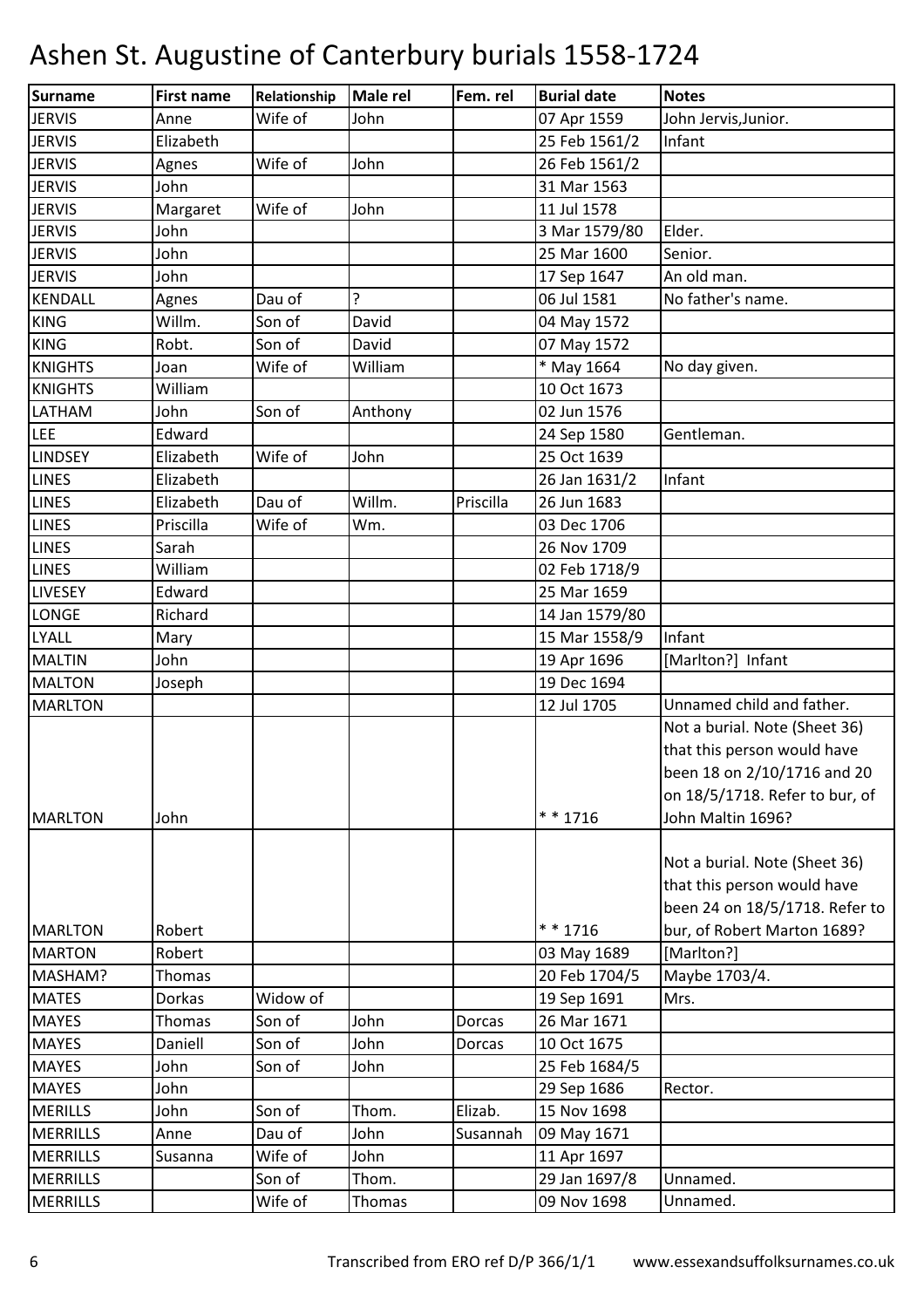| Surname         | <b>First name</b> | Relationship | <b>Male rel</b> | Fem. rel  | <b>Burial date</b> | <b>Notes</b>                   |
|-----------------|-------------------|--------------|-----------------|-----------|--------------------|--------------------------------|
| <b>JERVIS</b>   | Anne              | Wife of      | John            |           | 07 Apr 1559        | John Jervis, Junior.           |
| <b>JERVIS</b>   | Elizabeth         |              |                 |           | 25 Feb 1561/2      | Infant                         |
| <b>JERVIS</b>   | Agnes             | Wife of      | John            |           | 26 Feb 1561/2      |                                |
| <b>JERVIS</b>   | John              |              |                 |           | 31 Mar 1563        |                                |
| <b>JERVIS</b>   | Margaret          | Wife of      | John            |           | 11 Jul 1578        |                                |
| <b>JERVIS</b>   | John              |              |                 |           | 3 Mar 1579/80      | Elder.                         |
| <b>JERVIS</b>   | John              |              |                 |           | 25 Mar 1600        | Senior.                        |
| <b>JERVIS</b>   | John              |              |                 |           | 17 Sep 1647        | An old man.                    |
| <b>KENDALL</b>  | Agnes             | Dau of       | 5.              |           | 06 Jul 1581        | No father's name.              |
| <b>KING</b>     | Willm.            | Son of       | David           |           | 04 May 1572        |                                |
| <b>KING</b>     | Robt.             | Son of       | David           |           | 07 May 1572        |                                |
| <b>KNIGHTS</b>  | Joan              | Wife of      | William         |           | * May 1664         | No day given.                  |
| <b>KNIGHTS</b>  | William           |              |                 |           | 10 Oct 1673        |                                |
| LATHAM          | John              | Son of       | Anthony         |           | 02 Jun 1576        |                                |
| <b>LEE</b>      | Edward            |              |                 |           | 24 Sep 1580        | Gentleman.                     |
| <b>LINDSEY</b>  | Elizabeth         | Wife of      | John            |           | 25 Oct 1639        |                                |
| <b>LINES</b>    | Elizabeth         |              |                 |           | 26 Jan 1631/2      | Infant                         |
| <b>LINES</b>    | Elizabeth         | Dau of       | Willm.          | Priscilla | 26 Jun 1683        |                                |
| <b>LINES</b>    | Priscilla         | Wife of      | Wm.             |           | 03 Dec 1706        |                                |
| <b>LINES</b>    | Sarah             |              |                 |           | 26 Nov 1709        |                                |
| <b>LINES</b>    | William           |              |                 |           | 02 Feb 1718/9      |                                |
| <b>LIVESEY</b>  | Edward            |              |                 |           | 25 Mar 1659        |                                |
| <b>LONGE</b>    | Richard           |              |                 |           | 14 Jan 1579/80     |                                |
| <b>LYALL</b>    | Mary              |              |                 |           | 15 Mar 1558/9      | Infant                         |
| <b>MALTIN</b>   | John              |              |                 |           | 19 Apr 1696        | [Marlton?] Infant              |
| <b>MALTON</b>   | Joseph            |              |                 |           | 19 Dec 1694        |                                |
| <b>MARLTON</b>  |                   |              |                 |           | 12 Jul 1705        | Unnamed child and father.      |
|                 |                   |              |                 |           |                    | Not a burial. Note (Sheet 36)  |
|                 |                   |              |                 |           |                    | that this person would have    |
|                 |                   |              |                 |           |                    | been 18 on 2/10/1716 and 20    |
|                 |                   |              |                 |           |                    | on 18/5/1718. Refer to bur, of |
| <b>MARLTON</b>  | John              |              |                 |           | $* * 1716$         | John Maltin 1696?              |
|                 |                   |              |                 |           |                    |                                |
|                 |                   |              |                 |           |                    | Not a burial. Note (Sheet 36)  |
|                 |                   |              |                 |           |                    | that this person would have    |
|                 |                   |              |                 |           |                    | been 24 on 18/5/1718. Refer to |
| <b>MARLTON</b>  | Robert            |              |                 |           | * * 1716           | bur, of Robert Marton 1689?    |
| <b>MARTON</b>   | Robert            |              |                 |           | 03 May 1689        | [Marlton?]                     |
| MASHAM?         | Thomas            |              |                 |           | 20 Feb 1704/5      | Maybe 1703/4.                  |
| <b>MATES</b>    | Dorkas            | Widow of     |                 |           | 19 Sep 1691        | Mrs.                           |
| <b>MAYES</b>    | <b>Thomas</b>     | Son of       | John            | Dorcas    | 26 Mar 1671        |                                |
| <b>MAYES</b>    | Daniell           | Son of       | John            | Dorcas    | 10 Oct 1675        |                                |
| <b>MAYES</b>    | John              | Son of       | John            |           | 25 Feb 1684/5      |                                |
| <b>MAYES</b>    | John              |              |                 |           | 29 Sep 1686        | Rector.                        |
| <b>MERILLS</b>  | John              | Son of       | Thom.           | Elizab.   | 15 Nov 1698        |                                |
| <b>MERRILLS</b> | Anne              | Dau of       | John            | Susannah  | 09 May 1671        |                                |
| <b>MERRILLS</b> | Susanna           | Wife of      | John            |           | 11 Apr 1697        |                                |
| <b>MERRILLS</b> |                   | Son of       | Thom.           |           | 29 Jan 1697/8      | Unnamed.                       |
| <b>MERRILLS</b> |                   | Wife of      | Thomas          |           | 09 Nov 1698        | Unnamed.                       |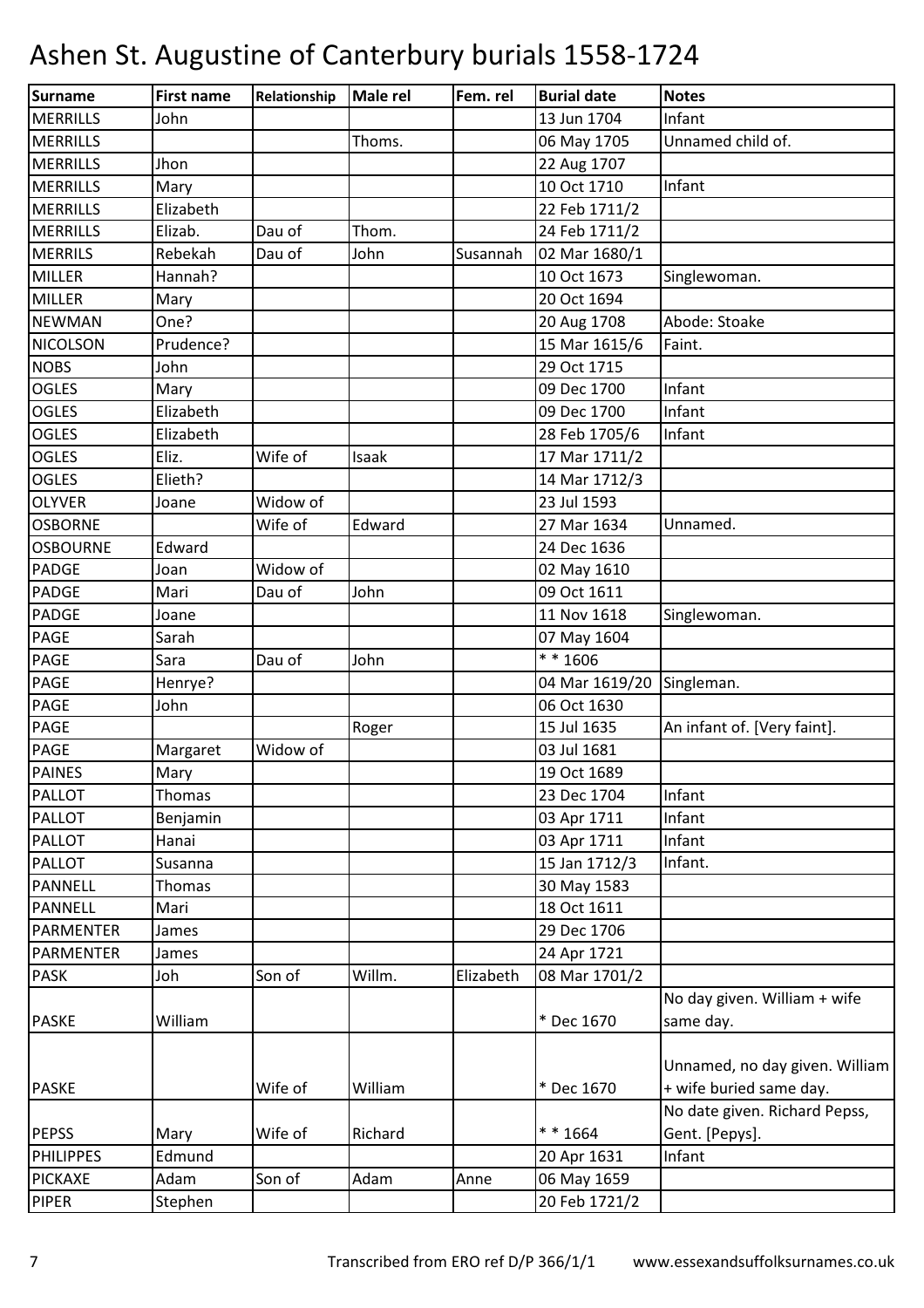| Surname          | <b>First name</b> | Relationship | Male rel | Fem. rel  | <b>Burial date</b> | <b>Notes</b>                   |
|------------------|-------------------|--------------|----------|-----------|--------------------|--------------------------------|
| <b>MERRILLS</b>  | John              |              |          |           | 13 Jun 1704        | Infant                         |
| <b>MERRILLS</b>  |                   |              | Thoms.   |           | 06 May 1705        | Unnamed child of.              |
| <b>MERRILLS</b>  | Jhon              |              |          |           | 22 Aug 1707        |                                |
| <b>MERRILLS</b>  | Mary              |              |          |           | 10 Oct 1710        | Infant                         |
| <b>MERRILLS</b>  | Elizabeth         |              |          |           | 22 Feb 1711/2      |                                |
| <b>MERRILLS</b>  | Elizab.           | Dau of       | Thom.    |           | 24 Feb 1711/2      |                                |
| <b>MERRILS</b>   | Rebekah           | Dau of       | John     | Susannah  | 02 Mar 1680/1      |                                |
| <b>MILLER</b>    | Hannah?           |              |          |           | 10 Oct 1673        | Singlewoman.                   |
| <b>MILLER</b>    | Mary              |              |          |           | 20 Oct 1694        |                                |
| <b>NEWMAN</b>    | One?              |              |          |           | 20 Aug 1708        | Abode: Stoake                  |
| <b>NICOLSON</b>  | Prudence?         |              |          |           | 15 Mar 1615/6      | Faint.                         |
| <b>NOBS</b>      | John              |              |          |           | 29 Oct 1715        |                                |
| <b>OGLES</b>     | Mary              |              |          |           | 09 Dec 1700        | Infant                         |
| <b>OGLES</b>     | Elizabeth         |              |          |           | 09 Dec 1700        | Infant                         |
| <b>OGLES</b>     | Elizabeth         |              |          |           | 28 Feb 1705/6      | Infant                         |
| <b>OGLES</b>     | Eliz.             | Wife of      | Isaak    |           | 17 Mar 1711/2      |                                |
| <b>OGLES</b>     | Elieth?           |              |          |           | 14 Mar 1712/3      |                                |
| <b>OLYVER</b>    | Joane             | Widow of     |          |           | 23 Jul 1593        |                                |
| <b>OSBORNE</b>   |                   | Wife of      | Edward   |           | 27 Mar 1634        | Unnamed.                       |
| <b>OSBOURNE</b>  | Edward            |              |          |           | 24 Dec 1636        |                                |
| <b>PADGE</b>     | Joan              | Widow of     |          |           | 02 May 1610        |                                |
| <b>PADGE</b>     | Mari              | Dau of       | John     |           | 09 Oct 1611        |                                |
| <b>PADGE</b>     | Joane             |              |          |           | 11 Nov 1618        | Singlewoman.                   |
| PAGE             | Sarah             |              |          |           | 07 May 1604        |                                |
| <b>PAGE</b>      | Sara              | Dau of       | John     |           | * * 1606           |                                |
| <b>PAGE</b>      | Henrye?           |              |          |           | 04 Mar 1619/20     | Singleman.                     |
| <b>PAGE</b>      | John              |              |          |           | 06 Oct 1630        |                                |
| <b>PAGE</b>      |                   |              | Roger    |           | 15 Jul 1635        | An infant of. [Very faint].    |
| <b>PAGE</b>      | Margaret          | Widow of     |          |           | 03 Jul 1681        |                                |
| <b>PAINES</b>    | Mary              |              |          |           | 19 Oct 1689        |                                |
| <b>PALLOT</b>    | Thomas            |              |          |           | 23 Dec 1704        | Infant                         |
| <b>PALLOT</b>    | Benjamin          |              |          |           | 03 Apr 1711        | Infant                         |
| <b>PALLOT</b>    | Hanai             |              |          |           | 03 Apr 1711        | Infant                         |
| <b>PALLOT</b>    | Susanna           |              |          |           | 15 Jan 1712/3      | Infant.                        |
| <b>PANNELL</b>   | Thomas            |              |          |           | 30 May 1583        |                                |
| <b>PANNELL</b>   | Mari              |              |          |           | 18 Oct 1611        |                                |
| <b>PARMENTER</b> | James             |              |          |           | 29 Dec 1706        |                                |
| <b>PARMENTER</b> | James             |              |          |           | 24 Apr 1721        |                                |
| <b>PASK</b>      | Joh               | Son of       | Willm.   | Elizabeth | 08 Mar 1701/2      |                                |
|                  |                   |              |          |           |                    | No day given. William + wife   |
| <b>PASKE</b>     | William           |              |          |           | * Dec 1670         | same day.                      |
|                  |                   |              |          |           |                    |                                |
|                  |                   |              |          |           |                    | Unnamed, no day given. William |
| <b>PASKE</b>     |                   | Wife of      | William  |           | * Dec 1670         | + wife buried same day.        |
|                  |                   |              |          |           |                    | No date given. Richard Pepss,  |
| <b>PEPSS</b>     | Mary              | Wife of      | Richard  |           | ** 1664            | Gent. [Pepys].                 |
| <b>PHILIPPES</b> | Edmund            |              |          |           | 20 Apr 1631        | Infant                         |
| <b>PICKAXE</b>   | Adam              | Son of       | Adam     | Anne      | 06 May 1659        |                                |
| <b>PIPER</b>     | Stephen           |              |          |           | 20 Feb 1721/2      |                                |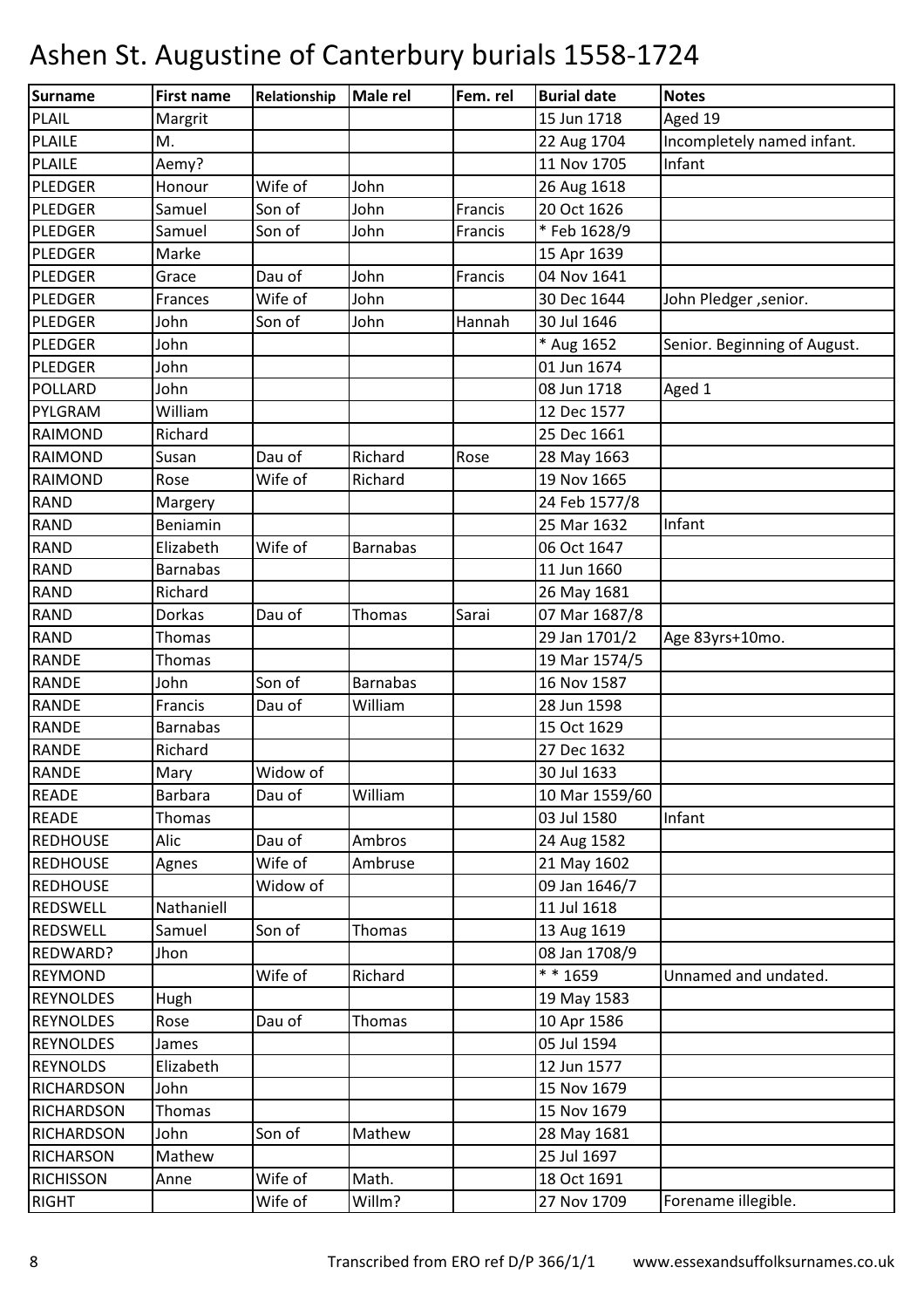| Surname           | <b>First name</b> | Relationship | <b>Male rel</b> | Fem. rel | <b>Burial date</b> | <b>Notes</b>                 |
|-------------------|-------------------|--------------|-----------------|----------|--------------------|------------------------------|
| <b>PLAIL</b>      | Margrit           |              |                 |          | 15 Jun 1718        | Aged 19                      |
| <b>PLAILE</b>     | M.                |              |                 |          | 22 Aug 1704        | Incompletely named infant.   |
| <b>PLAILE</b>     | Aemy?             |              |                 |          | 11 Nov 1705        | Infant                       |
| PLEDGER           | Honour            | Wife of      | John            |          | 26 Aug 1618        |                              |
| PLEDGER           | Samuel            | Son of       | John            | Francis  | 20 Oct 1626        |                              |
| PLEDGER           | Samuel            | Son of       | John            | Francis  | * Feb 1628/9       |                              |
| PLEDGER           | Marke             |              |                 |          | 15 Apr 1639        |                              |
| <b>PLEDGER</b>    | Grace             | Dau of       | John            | Francis  | 04 Nov 1641        |                              |
| PLEDGER           | Frances           | Wife of      | John            |          | 30 Dec 1644        | John Pledger , senior.       |
| PLEDGER           | John              | Son of       | John            | Hannah   | 30 Jul 1646        |                              |
| PLEDGER           | John              |              |                 |          | * Aug 1652         | Senior. Beginning of August. |
| <b>PLEDGER</b>    | John              |              |                 |          | 01 Jun 1674        |                              |
| <b>POLLARD</b>    | John              |              |                 |          | 08 Jun 1718        | Aged 1                       |
| PYLGRAM           | William           |              |                 |          | 12 Dec 1577        |                              |
| <b>RAIMOND</b>    | Richard           |              |                 |          | 25 Dec 1661        |                              |
| <b>RAIMOND</b>    | Susan             | Dau of       | Richard         | Rose     | 28 May 1663        |                              |
| <b>RAIMOND</b>    | Rose              | Wife of      | Richard         |          | 19 Nov 1665        |                              |
| <b>RAND</b>       | Margery           |              |                 |          | 24 Feb 1577/8      |                              |
| <b>RAND</b>       | Beniamin          |              |                 |          | 25 Mar 1632        | Infant                       |
| <b>RAND</b>       | Elizabeth         | Wife of      | <b>Barnabas</b> |          | 06 Oct 1647        |                              |
| <b>RAND</b>       | <b>Barnabas</b>   |              |                 |          | 11 Jun 1660        |                              |
| <b>RAND</b>       | Richard           |              |                 |          | 26 May 1681        |                              |
| <b>RAND</b>       | Dorkas            | Dau of       | Thomas          | Sarai    | 07 Mar 1687/8      |                              |
| <b>RAND</b>       | Thomas            |              |                 |          | 29 Jan 1701/2      | Age 83yrs+10mo.              |
| <b>RANDE</b>      | Thomas            |              |                 |          | 19 Mar 1574/5      |                              |
| <b>RANDE</b>      | John              | Son of       | <b>Barnabas</b> |          | 16 Nov 1587        |                              |
| <b>RANDE</b>      | Francis           | Dau of       | William         |          | 28 Jun 1598        |                              |
| <b>RANDE</b>      | <b>Barnabas</b>   |              |                 |          | 15 Oct 1629        |                              |
| <b>RANDE</b>      | Richard           |              |                 |          | 27 Dec 1632        |                              |
| <b>RANDE</b>      | Mary              | Widow of     |                 |          | 30 Jul 1633        |                              |
| <b>READE</b>      | <b>Barbara</b>    | Dau of       | William         |          | 10 Mar 1559/60     |                              |
| <b>READE</b>      | Thomas            |              |                 |          | 03 Jul 1580        | Infant                       |
| <b>REDHOUSE</b>   | Alic              | Dau of       | Ambros          |          | 24 Aug 1582        |                              |
| <b>REDHOUSE</b>   | Agnes             | Wife of      | Ambruse         |          | 21 May 1602        |                              |
| <b>REDHOUSE</b>   |                   | Widow of     |                 |          | 09 Jan 1646/7      |                              |
| REDSWELL          | Nathaniell        |              |                 |          | 11 Jul 1618        |                              |
| <b>REDSWELL</b>   | Samuel            | Son of       | Thomas          |          | 13 Aug 1619        |                              |
| REDWARD?          | Jhon              |              |                 |          | 08 Jan 1708/9      |                              |
| <b>REYMOND</b>    |                   | Wife of      | Richard         |          | ** 1659            | Unnamed and undated.         |
| <b>REYNOLDES</b>  | Hugh              |              |                 |          | 19 May 1583        |                              |
| <b>REYNOLDES</b>  | Rose              | Dau of       | Thomas          |          | 10 Apr 1586        |                              |
| <b>REYNOLDES</b>  | James             |              |                 |          | 05 Jul 1594        |                              |
| <b>REYNOLDS</b>   | Elizabeth         |              |                 |          | 12 Jun 1577        |                              |
| <b>RICHARDSON</b> | John              |              |                 |          | 15 Nov 1679        |                              |
| <b>RICHARDSON</b> | Thomas            |              |                 |          | 15 Nov 1679        |                              |
| <b>RICHARDSON</b> | John              | Son of       | Mathew          |          | 28 May 1681        |                              |
| <b>RICHARSON</b>  | Mathew            |              |                 |          | 25 Jul 1697        |                              |
| <b>RICHISSON</b>  | Anne              | Wife of      | Math.           |          | 18 Oct 1691        |                              |
| <b>RIGHT</b>      |                   | Wife of      | Willm?          |          | 27 Nov 1709        | Forename illegible.          |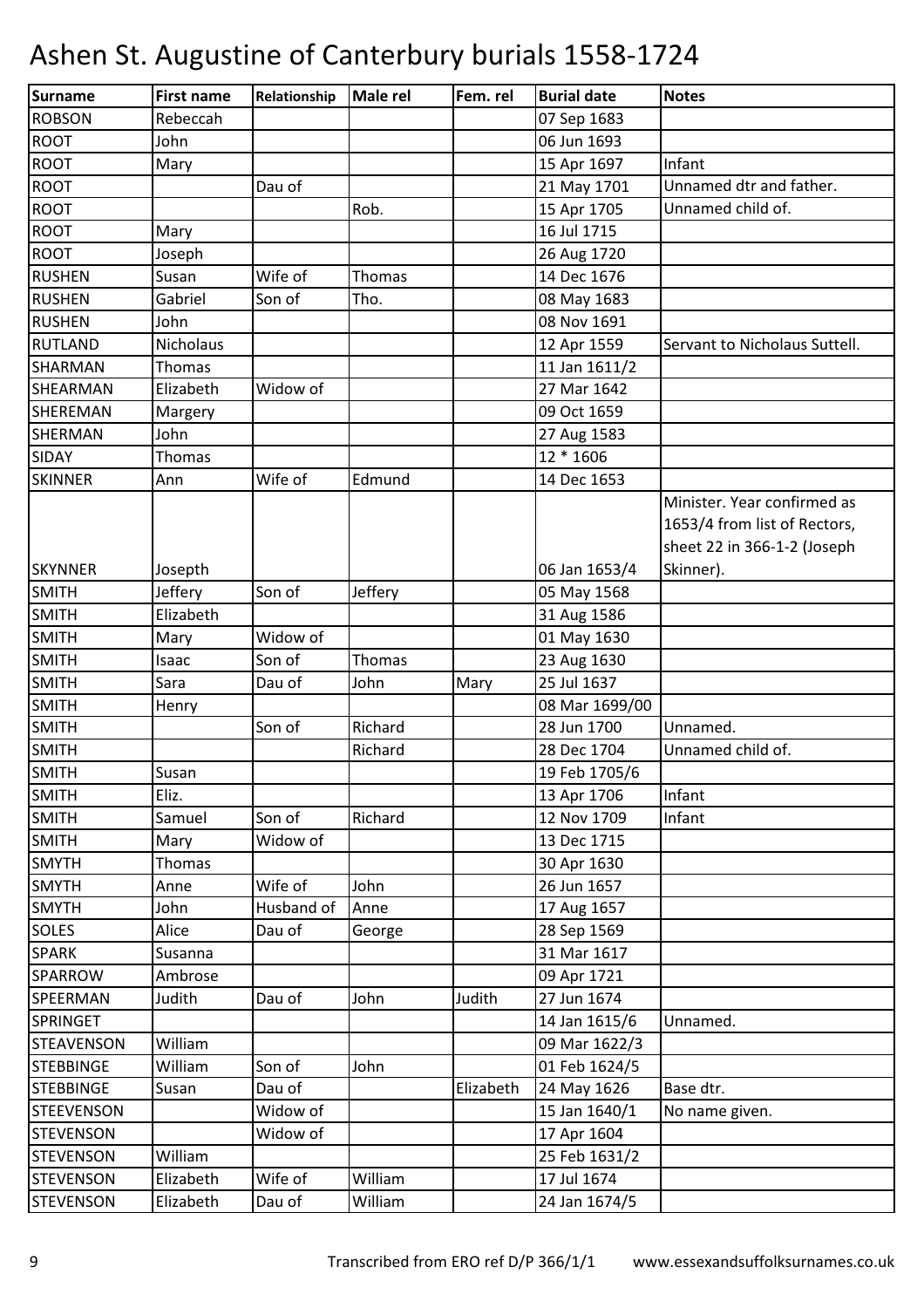| Surname           | <b>First name</b> | Relationship | <b>Male rel</b> | Fem. rel  | <b>Burial date</b>     | <b>Notes</b>                  |
|-------------------|-------------------|--------------|-----------------|-----------|------------------------|-------------------------------|
| <b>ROBSON</b>     | Rebeccah          |              |                 |           | 07 Sep 1683            |                               |
| <b>ROOT</b>       | John              |              |                 |           | 06 Jun 1693            |                               |
| <b>ROOT</b>       | Mary              |              |                 |           | 15 Apr 1697            | Infant                        |
| <b>ROOT</b>       |                   | Dau of       |                 |           | 21 May 1701            | Unnamed dtr and father.       |
| <b>ROOT</b>       |                   |              | Rob.            |           | 15 Apr 1705            | Unnamed child of.             |
| <b>ROOT</b>       | Mary              |              |                 |           | 16 Jul 1715            |                               |
| <b>ROOT</b>       | Joseph            |              |                 |           | 26 Aug 1720            |                               |
| <b>RUSHEN</b>     | Susan             | Wife of      | Thomas          |           | 14 Dec 1676            |                               |
| <b>RUSHEN</b>     | Gabriel           | Son of       | Tho.            |           | 08 May 1683            |                               |
| <b>RUSHEN</b>     | John              |              |                 |           | 08 Nov 1691            |                               |
| <b>RUTLAND</b>    | Nicholaus         |              |                 |           | 12 Apr 1559            | Servant to Nicholaus Suttell. |
| <b>SHARMAN</b>    | Thomas            |              |                 |           | 11 Jan 1611/2          |                               |
| SHEARMAN          | Elizabeth         | Widow of     |                 |           | 27 Mar 1642            |                               |
| SHEREMAN          | Margery           |              |                 |           | 09 Oct 1659            |                               |
| <b>SHERMAN</b>    | John              |              |                 |           | 27 Aug 1583            |                               |
| <b>SIDAY</b>      | Thomas            |              |                 |           | $\overline{12}$ * 1606 |                               |
| <b>SKINNER</b>    | Ann               | Wife of      | Edmund          |           | 14 Dec 1653            |                               |
|                   |                   |              |                 |           |                        | Minister. Year confirmed as   |
|                   |                   |              |                 |           |                        | 1653/4 from list of Rectors,  |
|                   |                   |              |                 |           |                        | sheet 22 in 366-1-2 (Joseph   |
| <b>SKYNNER</b>    | Josepth           |              |                 |           | 06 Jan 1653/4          | Skinner).                     |
| <b>SMITH</b>      | Jeffery           | Son of       | Jeffery         |           | 05 May 1568            |                               |
| <b>SMITH</b>      | Elizabeth         |              |                 |           | 31 Aug 1586            |                               |
| <b>SMITH</b>      | Mary              | Widow of     |                 |           | 01 May 1630            |                               |
| <b>SMITH</b>      | Isaac             | Son of       | Thomas          |           | 23 Aug 1630            |                               |
| <b>SMITH</b>      | Sara              | Dau of       | John            | Mary      | 25 Jul 1637            |                               |
| <b>SMITH</b>      | Henry             |              |                 |           | 08 Mar 1699/00         |                               |
| <b>SMITH</b>      |                   | Son of       | Richard         |           | 28 Jun 1700            | Unnamed.                      |
| <b>SMITH</b>      |                   |              | Richard         |           | 28 Dec 1704            | Unnamed child of.             |
| <b>SMITH</b>      | Susan             |              |                 |           | 19 Feb 1705/6          |                               |
| <b>SMITH</b>      | Eliz.             |              |                 |           | 13 Apr 1706            | Infant                        |
| <b>SMITH</b>      | Samuel            | Son of       | Richard         |           | 12 Nov 1709            | Infant                        |
| <b>SMITH</b>      | Mary              | Widow of     |                 |           | 13 Dec 1715            |                               |
| <b>SMYTH</b>      | Thomas            |              |                 |           | 30 Apr 1630            |                               |
| <b>SMYTH</b>      | Anne              | Wife of      | John            |           | 26 Jun 1657            |                               |
| <b>SMYTH</b>      | John              | Husband of   | Anne            |           | 17 Aug 1657            |                               |
| <b>SOLES</b>      | Alice             | Dau of       | George          |           | 28 Sep 1569            |                               |
| <b>SPARK</b>      | Susanna           |              |                 |           | 31 Mar 1617            |                               |
| SPARROW           | Ambrose           |              |                 |           | 09 Apr 1721            |                               |
| <b>SPEERMAN</b>   | Judith            | Dau of       | John            | Judith    | 27 Jun 1674            |                               |
| <b>SPRINGET</b>   |                   |              |                 |           | 14 Jan 1615/6          | Unnamed.                      |
| <b>STEAVENSON</b> | William           |              |                 |           | 09 Mar 1622/3          |                               |
| <b>STEBBINGE</b>  | William           | Son of       | John            |           | 01 Feb 1624/5          |                               |
| <b>STEBBINGE</b>  | Susan             | Dau of       |                 | Elizabeth | 24 May 1626            | Base dtr.                     |
| <b>STEEVENSON</b> |                   | Widow of     |                 |           | 15 Jan 1640/1          | No name given.                |
| <b>STEVENSON</b>  |                   | Widow of     |                 |           | 17 Apr 1604            |                               |
| <b>STEVENSON</b>  | William           |              |                 |           | 25 Feb 1631/2          |                               |
| <b>STEVENSON</b>  | Elizabeth         | Wife of      | William         |           | 17 Jul 1674            |                               |
| <b>STEVENSON</b>  | Elizabeth         | Dau of       | William         |           | 24 Jan 1674/5          |                               |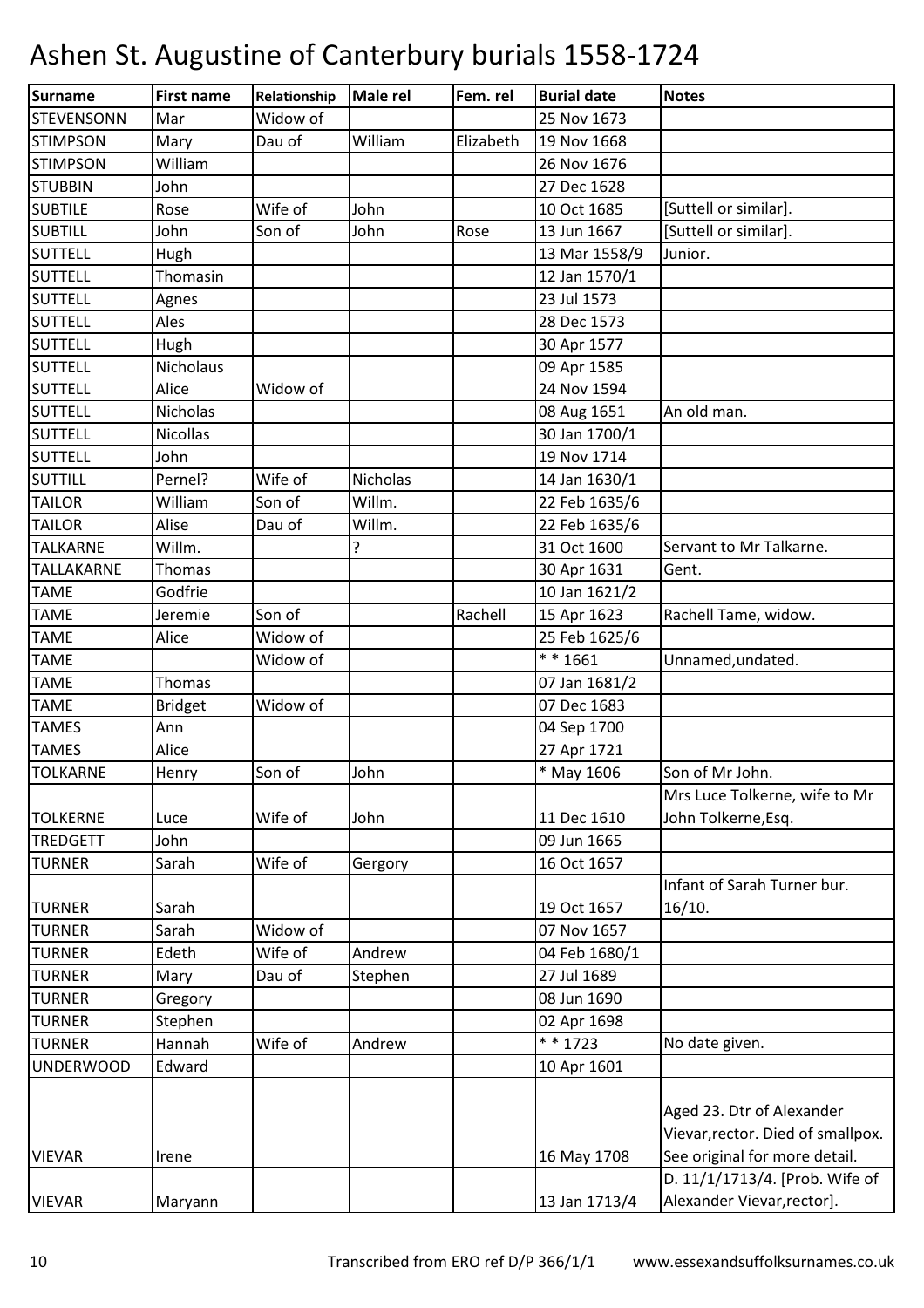| Surname           | <b>First name</b> | Relationship | <b>Male rel</b> | Fem. rel  | <b>Burial date</b> | <b>Notes</b>                                                   |
|-------------------|-------------------|--------------|-----------------|-----------|--------------------|----------------------------------------------------------------|
| <b>STEVENSONN</b> | Mar               | Widow of     |                 |           | 25 Nov 1673        |                                                                |
| <b>STIMPSON</b>   | Mary              | Dau of       | William         | Elizabeth | 19 Nov 1668        |                                                                |
| <b>STIMPSON</b>   | William           |              |                 |           | 26 Nov 1676        |                                                                |
| <b>STUBBIN</b>    | John              |              |                 |           | 27 Dec 1628        |                                                                |
| <b>SUBTILE</b>    | Rose              | Wife of      | John            |           | 10 Oct 1685        | [Suttell or similar].                                          |
| <b>SUBTILL</b>    | John              | Son of       | John            | Rose      | 13 Jun 1667        | [Suttell or similar].                                          |
| <b>SUTTELL</b>    | Hugh              |              |                 |           | 13 Mar 1558/9      | Junior.                                                        |
| <b>SUTTELL</b>    | Thomasin          |              |                 |           | 12 Jan 1570/1      |                                                                |
| <b>SUTTELL</b>    | Agnes             |              |                 |           | 23 Jul 1573        |                                                                |
| <b>SUTTELL</b>    | Ales              |              |                 |           | 28 Dec 1573        |                                                                |
| <b>SUTTELL</b>    | Hugh              |              |                 |           | 30 Apr 1577        |                                                                |
| <b>SUTTELL</b>    | Nicholaus         |              |                 |           | 09 Apr 1585        |                                                                |
| <b>SUTTELL</b>    | Alice             | Widow of     |                 |           | 24 Nov 1594        |                                                                |
| <b>SUTTELL</b>    | Nicholas          |              |                 |           | 08 Aug 1651        | An old man.                                                    |
| <b>SUTTELL</b>    | <b>Nicollas</b>   |              |                 |           | 30 Jan 1700/1      |                                                                |
| <b>SUTTELL</b>    | John              |              |                 |           | 19 Nov 1714        |                                                                |
| <b>SUTTILL</b>    | Pernel?           | Wife of      | Nicholas        |           | 14 Jan 1630/1      |                                                                |
| <b>TAILOR</b>     | William           | Son of       | Willm.          |           | 22 Feb 1635/6      |                                                                |
| <b>TAILOR</b>     | Alise             | Dau of       | Willm.          |           | 22 Feb 1635/6      |                                                                |
| <b>TALKARNE</b>   | Willm.            |              | 5.              |           | 31 Oct 1600        | Servant to Mr Talkarne.                                        |
| TALLAKARNE        | Thomas            |              |                 |           | 30 Apr 1631        | Gent.                                                          |
| <b>TAME</b>       | Godfrie           |              |                 |           | 10 Jan 1621/2      |                                                                |
| <b>TAME</b>       | Jeremie           | Son of       |                 | Rachell   | 15 Apr 1623        | Rachell Tame, widow.                                           |
| <b>TAME</b>       | Alice             | Widow of     |                 |           | 25 Feb 1625/6      |                                                                |
| <b>TAME</b>       |                   | Widow of     |                 |           | ** 1661            | Unnamed, undated.                                              |
| <b>TAME</b>       | <b>Thomas</b>     |              |                 |           | 07 Jan 1681/2      |                                                                |
| <b>TAME</b>       | <b>Bridget</b>    | Widow of     |                 |           | 07 Dec 1683        |                                                                |
| <b>TAMES</b>      | Ann               |              |                 |           | 04 Sep 1700        |                                                                |
| <b>TAMES</b>      | Alice             |              |                 |           | 27 Apr 1721        |                                                                |
| <b>TOLKARNE</b>   | Henry             | Son of       | John            |           | * May 1606         | Son of Mr John.                                                |
|                   |                   |              |                 |           |                    | Mrs Luce Tolkerne, wife to Mr                                  |
| <b>TOLKERNE</b>   | Luce              | Wife of      | John            |           | 11 Dec 1610        | John Tolkerne, Esq.                                            |
| <b>TREDGETT</b>   | John              |              |                 |           | 09 Jun 1665        |                                                                |
| <b>TURNER</b>     | Sarah             | Wife of      | Gergory         |           | 16 Oct 1657        |                                                                |
|                   |                   |              |                 |           |                    | Infant of Sarah Turner bur.                                    |
| <b>TURNER</b>     | Sarah             |              |                 |           | 19 Oct 1657        | 16/10.                                                         |
| <b>TURNER</b>     | Sarah             | Widow of     |                 |           | 07 Nov 1657        |                                                                |
| <b>TURNER</b>     | Edeth             | Wife of      | Andrew          |           | 04 Feb 1680/1      |                                                                |
| <b>TURNER</b>     | Mary              | Dau of       | Stephen         |           | 27 Jul 1689        |                                                                |
| <b>TURNER</b>     | Gregory           |              |                 |           | 08 Jun 1690        |                                                                |
| <b>TURNER</b>     | Stephen           |              |                 |           | 02 Apr 1698        |                                                                |
| <b>TURNER</b>     | Hannah            | Wife of      | Andrew          |           | * * 1723           | No date given.                                                 |
| <b>UNDERWOOD</b>  | Edward            |              |                 |           | 10 Apr 1601        |                                                                |
|                   |                   |              |                 |           |                    | Aged 23. Dtr of Alexander<br>Vievar, rector. Died of smallpox. |
| <b>VIEVAR</b>     | Irene             |              |                 |           | 16 May 1708        | See original for more detail.                                  |
|                   |                   |              |                 |           |                    | D. 11/1/1713/4. [Prob. Wife of                                 |
| <b>VIEVAR</b>     | Maryann           |              |                 |           | 13 Jan 1713/4      | Alexander Vievar, rector].                                     |